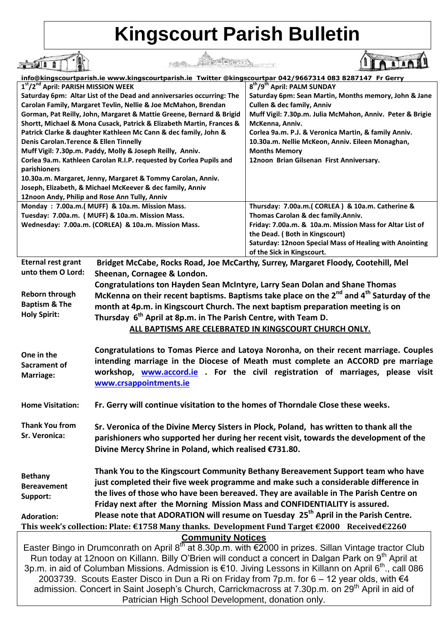## **Kingscourt Parish Bulletin**

| $\rightarrow$                                                                                                                    |                                                                                                                  |                                                                                 |  |
|----------------------------------------------------------------------------------------------------------------------------------|------------------------------------------------------------------------------------------------------------------|---------------------------------------------------------------------------------|--|
| info@kingscourtparish.ie www.kingscourtparish.ie Twitter @kingscourtpar 042/9667314 083 8287147 Fr Gerry                         |                                                                                                                  |                                                                                 |  |
| 1st/2 <sup>nd</sup> April: PARISH MISSION WEEK                                                                                   |                                                                                                                  | 8 <sup>th</sup> /9 <sup>th</sup> April: PALM SUNDAY                             |  |
| Saturday 6pm: Altar List of the Dead and anniversaries occurring: The                                                            |                                                                                                                  | Saturday 6pm: Sean Martin, Months memory, John & Jane                           |  |
| Carolan Family, Margaret Tevlin, Nellie & Joe McMahon, Brendan                                                                   |                                                                                                                  | <b>Cullen &amp; dec family, Anniv</b>                                           |  |
| Gorman, Pat Reilly, John, Margaret & Mattie Greene, Bernard & Brigid                                                             |                                                                                                                  | Muff Vigil: 7.30p.m. Julia McMahon, Anniv. Peter & Brigie                       |  |
| Shortt, Michael & Mona Cusack, Patrick & Elizabeth Martin, Frances &                                                             |                                                                                                                  | McKenna, Anniv.                                                                 |  |
| Patrick Clarke & daughter Kathleen Mc Cann & dec family, John &<br>Denis Carolan. Terence & Ellen Tinnelly                       |                                                                                                                  | Corlea 9a.m. P.J. & Veronica Martin, & family Anniv.                            |  |
|                                                                                                                                  |                                                                                                                  | 10.30a.m. Nellie McKeon, Anniv. Eileen Monaghan,                                |  |
| Muff Vigil: 7.30p.m. Paddy, Molly & Joseph Reilly, Anniv.<br>Corlea 9a.m. Kathleen Carolan R.I.P. requested by Corlea Pupils and |                                                                                                                  | <b>Months Memory</b>                                                            |  |
| 12noon Brian Gilsenan First Anniversary.<br>parishioners                                                                         |                                                                                                                  |                                                                                 |  |
| 10.30a.m. Margaret, Jenny, Margaret & Tommy Carolan, Anniv.                                                                      |                                                                                                                  |                                                                                 |  |
| Joseph, Elizabeth, & Michael McKeever & dec family, Anniv                                                                        |                                                                                                                  |                                                                                 |  |
| 12noon Andy, Philip and Rose Ann Tully, Anniv                                                                                    |                                                                                                                  |                                                                                 |  |
| Monday: 7.00a.m.(MUFF) & 10a.m. Mission Mass.<br>Thursday: 7.00a.m.(CORLEA) & 10a.m. Catherine &                                 |                                                                                                                  |                                                                                 |  |
| Tuesday: 7.00a.m. (MUFF) & 10a.m. Mission Mass.                                                                                  |                                                                                                                  | Thomas Carolan & dec family.Anniv.                                              |  |
| Wednesday: 7.00a.m. (CORLEA) & 10a.m. Mission Mass.                                                                              |                                                                                                                  | Friday: 7.00a.m. & 10a.m. Mission Mass for Altar List of                        |  |
|                                                                                                                                  |                                                                                                                  | the Dead. (Both in Kingscourt)                                                  |  |
|                                                                                                                                  |                                                                                                                  | Saturday: 12noon Special Mass of Healing with Anointing                         |  |
|                                                                                                                                  |                                                                                                                  | of the Sick in Kingscourt.                                                      |  |
| <b>Eternal rest grant</b>                                                                                                        | Bridget McCabe, Rocks Road, Joe McCarthy, Surrey, Margaret Floody, Cootehill, Mel                                |                                                                                 |  |
| unto them O Lord:                                                                                                                | Sheenan, Cornagee & London.                                                                                      |                                                                                 |  |
|                                                                                                                                  | Congratulations ton Hayden Sean McIntyre, Larry Sean Dolan and Shane Thomas                                      |                                                                                 |  |
| <b>Reborn through</b>                                                                                                            | McKenna on their recent baptisms. Baptisms take place on the 2 <sup>nd</sup> and 4 <sup>th</sup> Saturday of the |                                                                                 |  |
| <b>Baptism &amp; The</b>                                                                                                         |                                                                                                                  |                                                                                 |  |
| <b>Holy Spirit:</b>                                                                                                              | month at 4p.m. in Kingscourt Church. The next baptism preparation meeting is on                                  |                                                                                 |  |
|                                                                                                                                  | Thursday 6 <sup>th</sup> April at 8p.m. in The Parish Centre, with Team D.                                       |                                                                                 |  |
| ALL BAPTISMS ARE CELEBRATED IN KINGSCOURT CHURCH ONLY.                                                                           |                                                                                                                  |                                                                                 |  |
|                                                                                                                                  |                                                                                                                  |                                                                                 |  |
| One in the                                                                                                                       | Congratulations to Tomas Pierce and Latoya Noronha, on their recent marriage. Couples                            |                                                                                 |  |
| Sacrament of                                                                                                                     |                                                                                                                  | intending marriage in the Diocese of Meath must complete an ACCORD pre marriage |  |
| Marriage:                                                                                                                        |                                                                                                                  | workshop, www.accord.ie . For the civil registration of marriages, please visit |  |
|                                                                                                                                  | www.crsappointments.ie                                                                                           |                                                                                 |  |
|                                                                                                                                  |                                                                                                                  |                                                                                 |  |
|                                                                                                                                  |                                                                                                                  |                                                                                 |  |
| Fr. Gerry will continue visitation to the homes of Thorndale Close these weeks.<br><b>Home Visitation:</b>                       |                                                                                                                  |                                                                                 |  |
|                                                                                                                                  |                                                                                                                  |                                                                                 |  |
| <b>Thank You from</b>                                                                                                            | Sr. Veronica of the Divine Mercy Sisters in Plock, Poland, has written to thank all the                          |                                                                                 |  |
| Sr. Veronica:                                                                                                                    | parishioners who supported her during her recent visit, towards the development of the                           |                                                                                 |  |
|                                                                                                                                  | Divine Mercy Shrine in Poland, which realised €731.80.                                                           |                                                                                 |  |
|                                                                                                                                  |                                                                                                                  |                                                                                 |  |
| Thank You to the Kingscourt Community Bethany Bereavement Support team who have                                                  |                                                                                                                  |                                                                                 |  |
| <b>Bethany</b>                                                                                                                   |                                                                                                                  |                                                                                 |  |
| <b>Bereavement</b>                                                                                                               | just completed their five week programme and make such a considerable difference in                              |                                                                                 |  |
| Support:                                                                                                                         | the lives of those who have been bereaved. They are available in The Parish Centre on                            |                                                                                 |  |
| Friday next after the Morning Mission Mass and CONFIDENTIALITY is assured.                                                       |                                                                                                                  |                                                                                 |  |
| Please note that ADORATION will resume on Tuesday 25 <sup>th</sup> April in the Parish Centre.<br><b>Adoration:</b>              |                                                                                                                  |                                                                                 |  |
| This week's collection: Plate: €1758 Many thanks. Development Fund Target €2000 Received€2260                                    |                                                                                                                  |                                                                                 |  |
| <b>Community Notices</b>                                                                                                         |                                                                                                                  |                                                                                 |  |
| Easter Bingo in Drumconrath on April 8 <sup>th</sup> at 8.30p.m. with €2000 in prizes. Sillan Vintage tractor Club               |                                                                                                                  |                                                                                 |  |

Run today at 12noon on Killann. Billy O'Brien will conduct a concert in Dalgan Park on 9<sup>th</sup> April at 3p.m. in aid of Columban Missions. Admission is €10. Jiving Lessons in Killann on April 6<sup>th</sup>., call 086 2003739. Scouts Easter Disco in Dun a Ri on Friday from 7p.m. for 6 – 12 year olds, with €4 admission. Concert in Saint Joseph's Church, Carrickmacross at 7.30p.m. on 29<sup>th</sup> April in aid of Patrician High School Development, donation only.